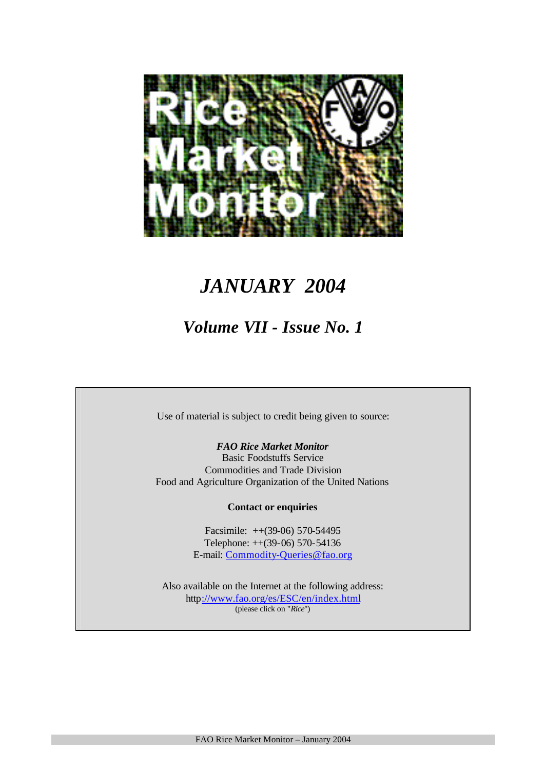

# *JANUARY 2004*

# *Volume VII - Issue No. 1*

Use of material is subject to credit being given to source:

*FAO Rice Market Monitor* Basic Foodstuffs Service Commodities and Trade Division Food and Agriculture Organization of the United Nations

**Contact or enquiries**

Facsimile: ++(39-06) 570-54495 Telephone: ++(39-06) 570-54136 E-mail: Commodity-Queries@fao.org

Also available on the Internet at the following address: http://www.fao.org/es/ESC/en/index.html (please click on "*Rice*")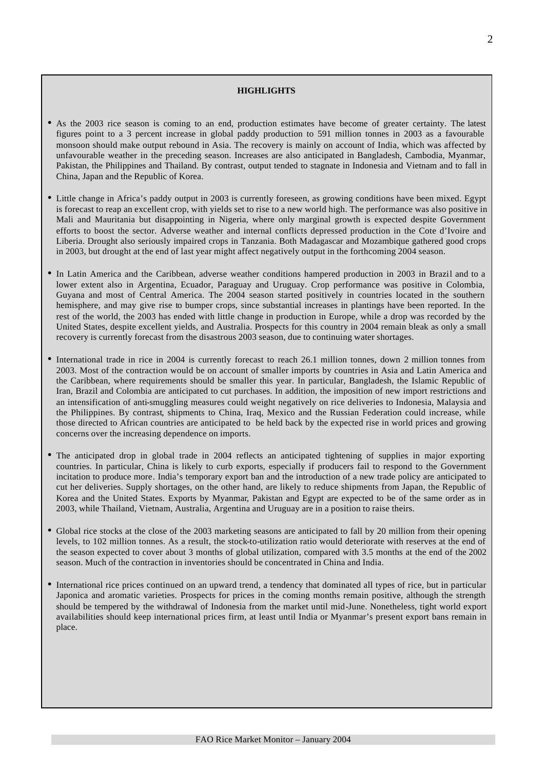#### **HIGHLIGHTS**

- As the 2003 rice season is coming to an end, production estimates have become of greater certainty. The latest figures point to a 3 percent increase in global paddy production to 591 million tonnes in 2003 as a favourable monsoon should make output rebound in Asia. The recovery is mainly on account of India, which was affected by unfavourable weather in the preceding season. Increases are also anticipated in Bangladesh, Cambodia, Myanmar, Pakistan, the Philippines and Thailand. By contrast, output tended to stagnate in Indonesia and Vietnam and to fall in China, Japan and the Republic of Korea.
- Little change in Africa's paddy output in 2003 is currently foreseen, as growing conditions have been mixed. Egypt is forecast to reap an excellent crop, with yields set to rise to a new world high. The performance was also positive in Mali and Mauritania but disappointing in Nigeria, where only marginal growth is expected despite Government efforts to boost the sector. Adverse weather and internal conflicts depressed production in the Cote d'Ivoire and Liberia. Drought also seriously impaired crops in Tanzania. Both Madagascar and Mozambique gathered good crops in 2003, but drought at the end of last year might affect negatively output in the forthcoming 2004 season.
- In Latin America and the Caribbean, adverse weather conditions hampered production in 2003 in Brazil and to a lower extent also in Argentina, Ecuador, Paraguay and Uruguay. Crop performance was positive in Colombia, Guyana and most of Central America. The 2004 season started positively in countries located in the southern hemisphere, and may give rise to bumper crops, since substantial increases in plantings have been reported. In the rest of the world, the 2003 has ended with little change in production in Europe, while a drop was recorded by the United States, despite excellent yields, and Australia. Prospects for this country in 2004 remain bleak as only a small recovery is currently forecast from the disastrous 2003 season, due to continuing water shortages.
- International trade in rice in 2004 is currently forecast to reach 26.1 million tonnes, down 2 million tonnes from 2003. Most of the contraction would be on account of smaller imports by countries in Asia and Latin America and the Caribbean, where requirements should be smaller this year. In particular, Bangladesh, the Islamic Republic of Iran, Brazil and Colombia are anticipated to cut purchases. In addition, the imposition of new import restrictions and an intensification of anti-smuggling measures could weight negatively on rice deliveries to Indonesia, Malaysia and the Philippines. By contrast, shipments to China, Iraq, Mexico and the Russian Federation could increase, while those directed to African countries are anticipated to be held back by the expected rise in world prices and growing concerns over the increasing dependence on imports.
- The anticipated drop in global trade in 2004 reflects an anticipated tightening of supplies in major exporting countries. In particular, China is likely to curb exports, especially if producers fail to respond to the Government incitation to produce more. India's temporary export ban and the introduction of a new trade policy are anticipated to cut her deliveries. Supply shortages, on the other hand, are likely to reduce shipments from Japan, the Republic of Korea and the United States. Exports by Myanmar, Pakistan and Egypt are expected to be of the same order as in 2003, while Thailand, Vietnam, Australia, Argentina and Uruguay are in a position to raise theirs.
- Global rice stocks at the close of the 2003 marketing seasons are anticipated to fall by 20 million from their opening levels, to 102 million tonnes. As a result, the stock-to-utilization ratio would deteriorate with reserves at the end of the season expected to cover about 3 months of global utilization, compared with 3.5 months at the end of the 2002 season. Much of the contraction in inventories should be concentrated in China and India.
- International rice prices continued on an upward trend, a tendency that dominated all types of rice, but in particular Japonica and aromatic varieties. Prospects for prices in the coming months remain positive, although the strength should be tempered by the withdrawal of Indonesia from the market until mid-June. Nonetheless, tight world export availabilities should keep international prices firm, at least until India or Myanmar's present export bans remain in place.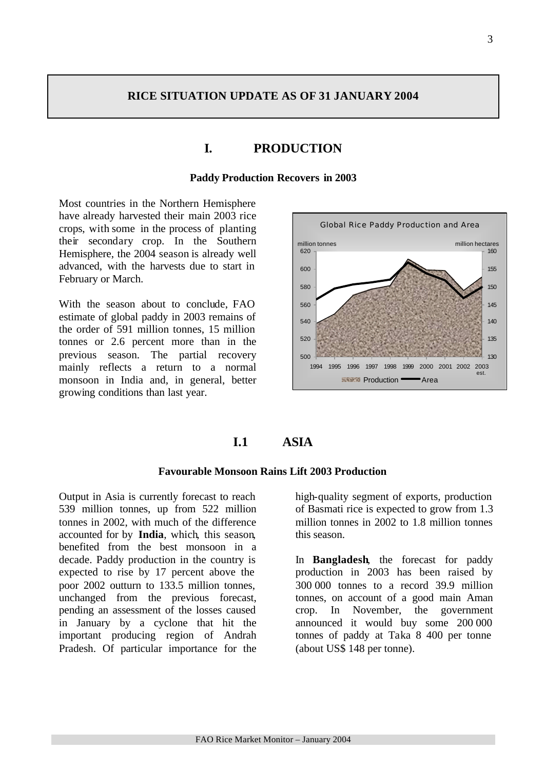### **RICE SITUATION UPDATE AS OF 31 JANUARY 2004**

## **I. PRODUCTION**

#### **Paddy Production Recovers in 2003**

Most countries in the Northern Hemisphere have already harvested their main 2003 rice crops, with some in the process of planting their secondary crop. In the Southern Hemisphere, the 2004 season is already well advanced, with the harvests due to start in February or March.

With the season about to conclude, FAO estimate of global paddy in 2003 remains of the order of 591 million tonnes, 15 million tonnes or 2.6 percent more than in the previous season. The partial recovery mainly reflects a return to a normal monsoon in India and, in general, better growing conditions than last year.



### **I.1 ASIA**

### **Favourable Monsoon Rains Lift 2003 Production**

Output in Asia is currently forecast to reach 539 million tonnes, up from 522 million tonnes in 2002, with much of the difference accounted for by **India**, which, this season, benefited from the best monsoon in a decade. Paddy production in the country is expected to rise by 17 percent above the poor 2002 outturn to 133.5 million tonnes, unchanged from the previous forecast, pending an assessment of the losses caused in January by a cyclone that hit the important producing region of Andrah Pradesh. Of particular importance for the

high-quality segment of exports, production of Basmati rice is expected to grow from 1.3 million tonnes in 2002 to 1.8 million tonnes this season.

In **Bangladesh**, the forecast for paddy production in 2003 has been raised by 300 000 tonnes to a record 39.9 million tonnes, on account of a good main Aman crop. In November, the government announced it would buy some 200 000 tonnes of paddy at Taka 8 400 per tonne (about US\$ 148 per tonne).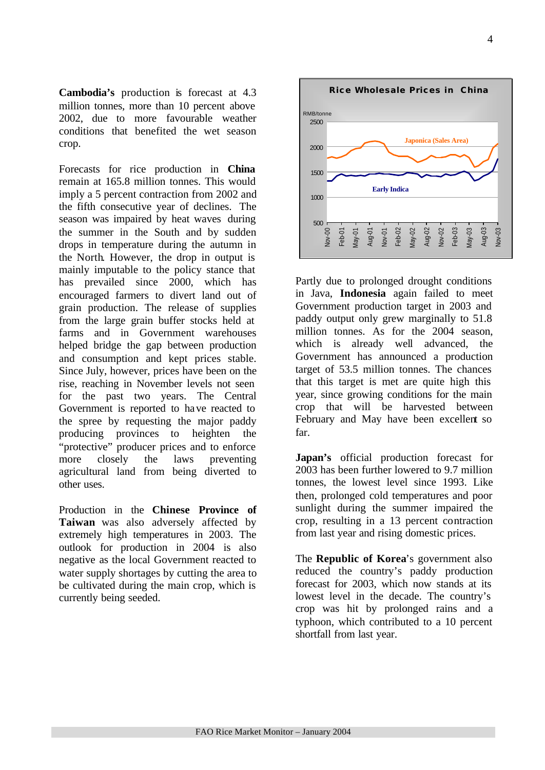**Cambodia's** production is forecast at 4.3 million tonnes, more than 10 percent above 2002, due to more favourable weather conditions that benefited the wet season crop.

Forecasts for rice production in **China** remain at 165.8 million tonnes. This would imply a 5 percent contraction from 2002 and the fifth consecutive year of declines. The season was impaired by heat waves during the summer in the South and by sudden drops in temperature during the autumn in the North. However, the drop in output is mainly imputable to the policy stance that has prevailed since 2000, which has encouraged farmers to divert land out of grain production. The release of supplies from the large grain buffer stocks held at farms and in Government warehouses helped bridge the gap between production and consumption and kept prices stable. Since July, however, prices have been on the rise, reaching in November levels not seen for the past two years. The Central Government is reported to have reacted to the spree by requesting the major paddy producing provinces to heighten the "protective" producer prices and to enforce more closely the laws preventing agricultural land from being diverted to other uses.

Production in the **Chinese Province of Taiwan** was also adversely affected by extremely high temperatures in 2003. The outlook for production in 2004 is also negative as the local Government reacted to water supply shortages by cutting the area to be cultivated during the main crop, which is currently being seeded.



Partly due to prolonged drought conditions in Java, **Indonesia** again failed to meet Government production target in 2003 and paddy output only grew marginally to 51.8 million tonnes. As for the 2004 season, which is already well advanced, the Government has announced a production target of 53.5 million tonnes. The chances that this target is met are quite high this year, since growing conditions for the main crop that will be harvested between February and May have been excellent so far.

**Japan's** official production forecast for 2003 has been further lowered to 9.7 million tonnes, the lowest level since 1993. Like then, prolonged cold temperatures and poor sunlight during the summer impaired the crop, resulting in a 13 percent contraction from last year and rising domestic prices.

The **Republic of Korea**'s government also reduced the country's paddy production forecast for 2003, which now stands at its lowest level in the decade. The country's crop was hit by prolonged rains and a typhoon, which contributed to a 10 percent shortfall from last year.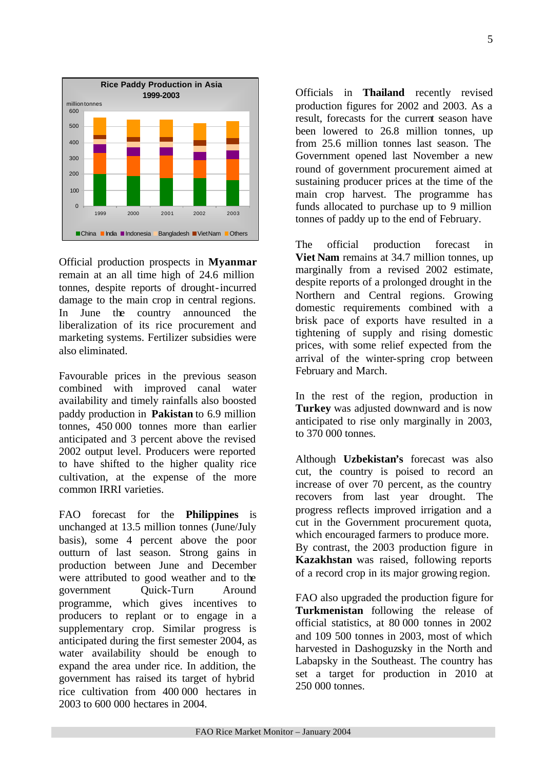

Official production prospects in **Myanmar** remain at an all time high of 24.6 million tonnes, despite reports of drought-incurred damage to the main crop in central regions. In June the country announced the liberalization of its rice procurement and marketing systems. Fertilizer subsidies were also eliminated.

Favourable prices in the previous season combined with improved canal water availability and timely rainfalls also boosted paddy production in **Pakistan** to 6.9 million tonnes, 450 000 tonnes more than earlier anticipated and 3 percent above the revised 2002 output level. Producers were reported to have shifted to the higher quality rice cultivation, at the expense of the more common IRRI varieties.

FAO forecast for the **Philippines** is unchanged at 13.5 million tonnes (June/July basis), some 4 percent above the poor outturn of last season. Strong gains in production between June and December were attributed to good weather and to the government Quick-Turn Around programme, which gives incentives to producers to replant or to engage in a supplementary crop. Similar progress is anticipated during the first semester 2004, as water availability should be enough to expand the area under rice. In addition, the government has raised its target of hybrid rice cultivation from 400 000 hectares in 2003 to 600 000 hectares in 2004.

Officials in **Thailand** recently revised production figures for 2002 and 2003. As a result, forecasts for the current season have been lowered to 26.8 million tonnes, up from 25.6 million tonnes last season. The Government opened last November a new round of government procurement aimed at sustaining producer prices at the time of the main crop harvest. The programme has funds allocated to purchase up to 9 million tonnes of paddy up to the end of February.

The official production forecast in **Viet Nam** remains at 34.7 million tonnes, up marginally from a revised 2002 estimate, despite reports of a prolonged drought in the Northern and Central regions. Growing domestic requirements combined with a brisk pace of exports have resulted in a tightening of supply and rising domestic prices, with some relief expected from the arrival of the winter-spring crop between February and March.

In the rest of the region, production in **Turkey** was adjusted downward and is now anticipated to rise only marginally in 2003, to 370 000 tonnes.

Although **Uzbekistan's** forecast was also cut, the country is poised to record an increase of over 70 percent, as the country recovers from last year drought. The progress reflects improved irrigation and a cut in the Government procurement quota, which encouraged farmers to produce more. By contrast, the 2003 production figure in **Kazakhstan** was raised, following reports of a record crop in its major growing region.

FAO also upgraded the production figure for **Turkmenistan** following the release of official statistics, at 80 000 tonnes in 2002 and 109 500 tonnes in 2003, most of which harvested in Dashoguzsky in the North and Labapsky in the Southeast. The country has set a target for production in 2010 at 250 000 tonnes.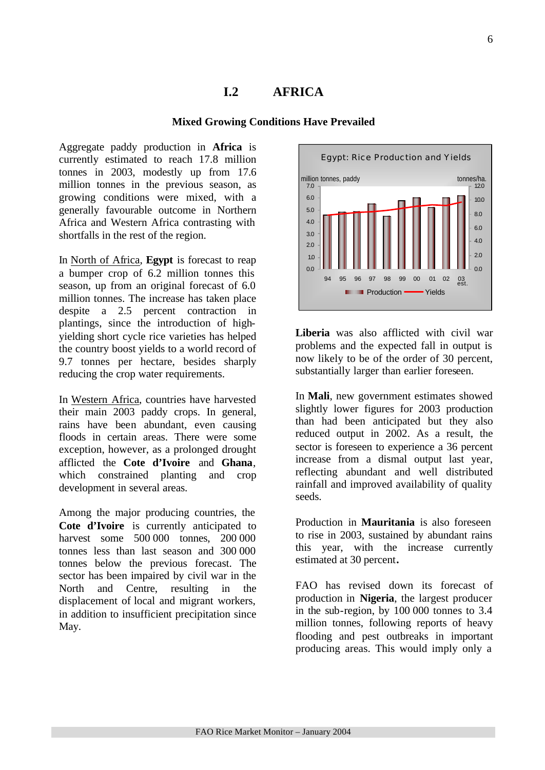### **I.2 AFRICA**

### **Mixed Growing Conditions Have Prevailed**

Aggregate paddy production in **Africa** is currently estimated to reach 17.8 million tonnes in 2003, modestly up from 17.6 million tonnes in the previous season, as growing conditions were mixed, with a generally favourable outcome in Northern Africa and Western Africa contrasting with shortfalls in the rest of the region.

In North of Africa, **Egypt** is forecast to reap a bumper crop of 6.2 million tonnes this season, up from an original forecast of 6.0 million tonnes. The increase has taken place despite a 2.5 percent contraction in plantings, since the introduction of highyielding short cycle rice varieties has helped the country boost yields to a world record of 9.7 tonnes per hectare, besides sharply reducing the crop water requirements.

In Western Africa, countries have harvested their main 2003 paddy crops. In general, rains have been abundant, even causing floods in certain areas. There were some exception, however, as a prolonged drought afflicted the **Cote d'Ivoire** and **Ghana**, which constrained planting and crop development in several areas.

Among the major producing countries, the **Cote d'Ivoire** is currently anticipated to harvest some 500 000 tonnes, 200 000 tonnes less than last season and 300 000 tonnes below the previous forecast. The sector has been impaired by civil war in the North and Centre, resulting in the displacement of local and migrant workers, in addition to insufficient precipitation since May.



**Liberia** was also afflicted with civil war problems and the expected fall in output is now likely to be of the order of 30 percent, substantially larger than earlier foreseen.

In **Mali**, new government estimates showed slightly lower figures for 2003 production than had been anticipated but they also reduced output in 2002. As a result, the sector is foreseen to experience a 36 percent increase from a dismal output last year, reflecting abundant and well distributed rainfall and improved availability of quality seeds.

Production in **Mauritania** is also foreseen to rise in 2003, sustained by abundant rains this year, with the increase currently estimated at 30 percent**.** 

FAO has revised down its forecast of production in **Nigeria**, the largest producer in the sub-region, by 100 000 tonnes to 3.4 million tonnes, following reports of heavy flooding and pest outbreaks in important producing areas. This would imply only a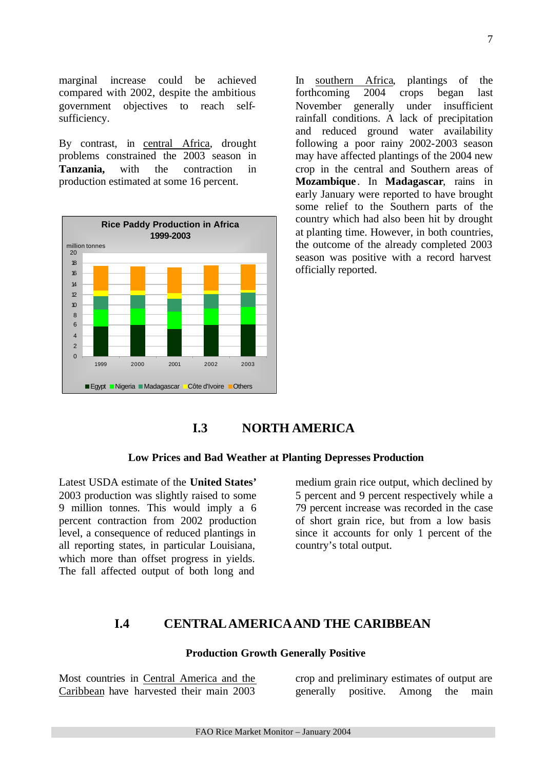marginal increase could be achieved compared with 2002, despite the ambitious government objectives to reach selfsufficiency.

By contrast, in central Africa, drought problems constrained the 2003 season in **Tanzania,** with the contraction in production estimated at some 16 percent.



In southern Africa, plantings of the forthcoming 2004 crops began last November generally under insufficient rainfall conditions. A lack of precipitation and reduced ground water availability following a poor rainy 2002-2003 season may have affected plantings of the 2004 new crop in the central and Southern areas of **Mozambique** . In **Madagascar**, rains in early January were reported to have brought some relief to the Southern parts of the country which had also been hit by drought at planting time. However, in both countries, the outcome of the already completed 2003 season was positive with a record harvest officially reported.

## **I.3 NORTH AMERICA**

#### **Low Prices and Bad Weather at Planting Depresses Production**

Latest USDA estimate of the **United States'** 2003 production was slightly raised to some 9 million tonnes. This would imply a 6 percent contraction from 2002 production level, a consequence of reduced plantings in all reporting states, in particular Louisiana, which more than offset progress in yields. The fall affected output of both long and

medium grain rice output, which declined by 5 percent and 9 percent respectively while a 79 percent increase was recorded in the case of short grain rice, but from a low basis since it accounts for only 1 percent of the country's total output.

### **I.4 CENTRALAMERICAAND THE CARIBBEAN**

#### **Production Growth Generally Positive**

Most countries in Central America and the Caribbean have harvested their main 2003

crop and preliminary estimates of output are generally positive. Among the main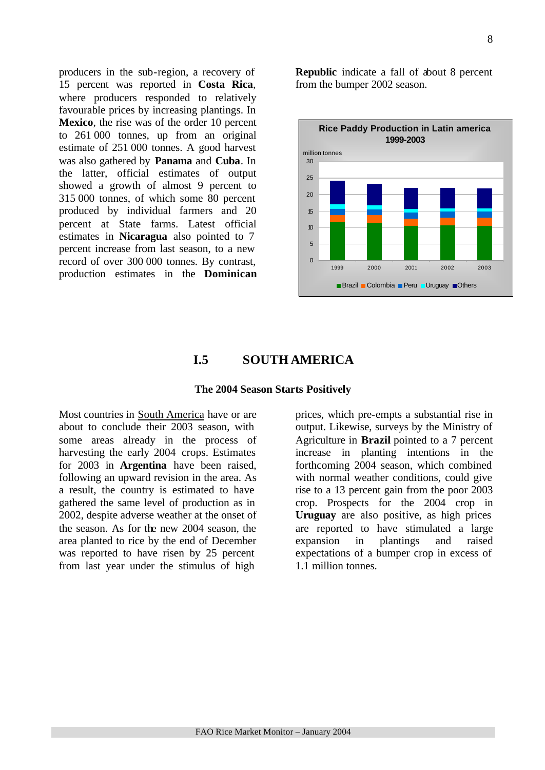8

producers in the sub-region, a recovery of 15 percent was reported in **Costa Rica**, where producers responded to relatively favourable prices by increasing plantings. In **Mexico**, the rise was of the order 10 percent to 261 000 tonnes, up from an original estimate of 251 000 tonnes. A good harvest was also gathered by **Panama** and **Cuba**. In the latter, official estimates of output showed a growth of almost 9 percent to 315 000 tonnes, of which some 80 percent produced by individual farmers and 20 percent at State farms. Latest official estimates in **Nicaragua** also pointed to 7 percent increase from last season, to a new record of over 300 000 tonnes. By contrast, production estimates in the **Dominican** **Republic** indicate a fall of about 8 percent from the bumper 2002 season.



### **I.5 SOUTH AMERICA**

### **The 2004 Season Starts Positively**

Most countries in South America have or are about to conclude their 2003 season, with some areas already in the process of harvesting the early 2004 crops. Estimates for 2003 in **Argentina** have been raised, following an upward revision in the area. As a result, the country is estimated to have gathered the same level of production as in 2002, despite adverse weather at the onset of the season. As for the new 2004 season, the area planted to rice by the end of December was reported to have risen by 25 percent from last year under the stimulus of high

prices, which pre-empts a substantial rise in output. Likewise, surveys by the Ministry of Agriculture in **Brazil** pointed to a 7 percent increase in planting intentions in the forthcoming 2004 season, which combined with normal weather conditions, could give rise to a 13 percent gain from the poor 2003 crop. Prospects for the 2004 crop in **Uruguay** are also positive, as high prices are reported to have stimulated a large expansion in plantings and raised expectations of a bumper crop in excess of 1.1 million tonnes.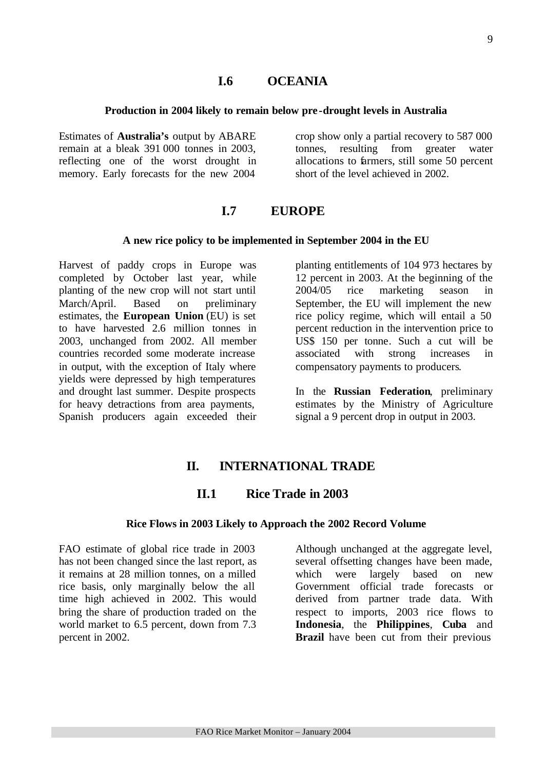### **I.6 OCEANIA**

#### **Production in 2004 likely to remain below pre -drought levels in Australia**

Estimates of **Australia's** output by ABARE remain at a bleak 391 000 tonnes in 2003, reflecting one of the worst drought in memory. Early forecasts for the new 2004

crop show only a partial recovery to 587 000 tonnes, resulting from greater water allocations to farmers, still some 50 percent short of the level achieved in 2002.

### **I.7 EUROPE**

#### **A new rice policy to be implemented in September 2004 in the EU**

Harvest of paddy crops in Europe was completed by October last year, while planting of the new crop will not start until March/April. Based on preliminary estimates, the **European Union** (EU) is set to have harvested 2.6 million tonnes in 2003, unchanged from 2002. All member countries recorded some moderate increase in output, with the exception of Italy where yields were depressed by high temperatures and drought last summer. Despite prospects for heavy detractions from area payments, Spanish producers again exceeded their planting entitlements of 104 973 hectares by 12 percent in 2003. At the beginning of the 2004/05 rice marketing season in September, the EU will implement the new rice policy regime, which will entail a 50 percent reduction in the intervention price to US\$ 150 per tonne. Such a cut will be associated with strong increases in compensatory payments to producers.

In the **Russian Federation**, preliminary estimates by the Ministry of Agriculture signal a 9 percent drop in output in 2003.

### **II. INTERNATIONAL TRADE**

### **II.1 Rice Trade in 2003**

#### **Rice Flows in 2003 Likely to Approach the 2002 Record Volume**

FAO estimate of global rice trade in 2003 has not been changed since the last report, as it remains at 28 million tonnes, on a milled rice basis, only marginally below the all time high achieved in 2002. This would bring the share of production traded on the world market to 6.5 percent, down from 7.3 percent in 2002.

Although unchanged at the aggregate level, several offsetting changes have been made, which were largely based on new Government official trade forecasts or derived from partner trade data. With respect to imports, 2003 rice flows to **Indonesia**, the **Philippines**, **Cuba** and **Brazil** have been cut from their previous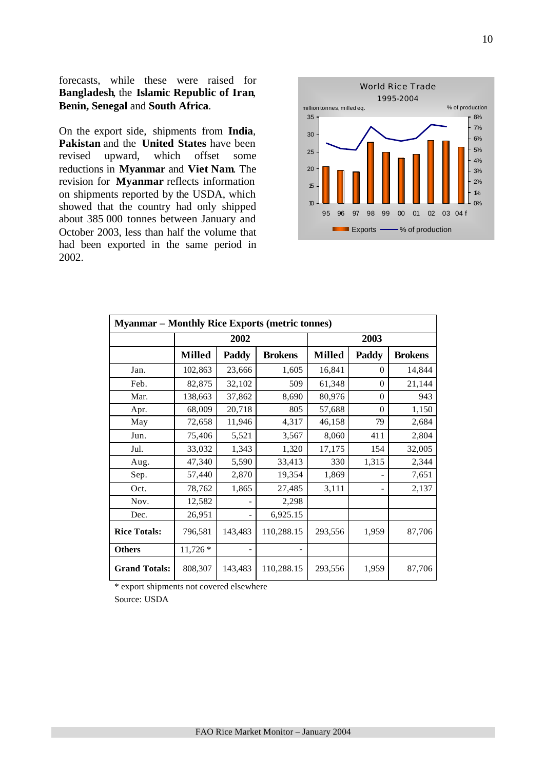forecasts, while these were raised for **Bangladesh**, the **Islamic Republic of Iran**, **Benin, Senegal** and **South Africa**.

On the export side, shipments from **India**, **Pakistan** and the **United States** have been revised upward, which offset some reductions in **Myanmar** and **Viet Nam**. The revision for **Myanmar** reflects information on shipments reported by the USDA, which showed that the country had only shipped about 385 000 tonnes between January and October 2003, less than half the volume that had been exported in the same period in 2002.



| <b>Myanmar – Monthly Rice Exports (metric tonnes)</b> |               |         |                |               |          |                |  |  |  |  |
|-------------------------------------------------------|---------------|---------|----------------|---------------|----------|----------------|--|--|--|--|
|                                                       |               | 2002    |                | 2003          |          |                |  |  |  |  |
|                                                       | <b>Milled</b> | Paddy   | <b>Brokens</b> | <b>Milled</b> | Paddy    | <b>Brokens</b> |  |  |  |  |
| Jan.                                                  | 102,863       | 23,666  | 1,605          | 16,841        | $\Omega$ | 14,844         |  |  |  |  |
| Feb.                                                  | 82,875        | 32,102  | 509            | 61,348        | $\theta$ | 21,144         |  |  |  |  |
| Mar.                                                  | 138,663       | 37,862  | 8,690          | 80,976        | $\theta$ | 943            |  |  |  |  |
| Apr.                                                  | 68,009        | 20,718  | 805            | 57,688        | $\theta$ | 1,150          |  |  |  |  |
| May                                                   | 72,658        | 11,946  | 4,317          | 46,158        | 79       | 2,684          |  |  |  |  |
| Jun.                                                  | 75,406        | 5,521   | 3,567          | 8,060         | 411      | 2,804          |  |  |  |  |
| Jul.                                                  | 33,032        | 1,343   | 1,320          | 17,175        | 154      | 32,005         |  |  |  |  |
| Aug.                                                  | 47,340        | 5,590   | 33,413         | 330           | 1,315    | 2,344          |  |  |  |  |
| Sep.                                                  | 57,440        | 2,870   | 19,354         | 1,869         |          | 7,651          |  |  |  |  |
| Oct.                                                  | 78,762        | 1,865   | 27,485         | 3,111         |          | 2,137          |  |  |  |  |
| Nov.                                                  | 12,582        |         | 2,298          |               |          |                |  |  |  |  |
| Dec.                                                  | 26,951        |         | 6,925.15       |               |          |                |  |  |  |  |
| <b>Rice Totals:</b>                                   | 796,581       | 143,483 | 110,288.15     | 293,556       | 1,959    | 87,706         |  |  |  |  |
| <b>Others</b>                                         | $11,726*$     |         |                |               |          |                |  |  |  |  |
| <b>Grand Totals:</b>                                  | 808,307       | 143,483 | 110,288.15     | 293,556       | 1,959    | 87,706         |  |  |  |  |

\* export shipments not covered elsewhere

Source: USDA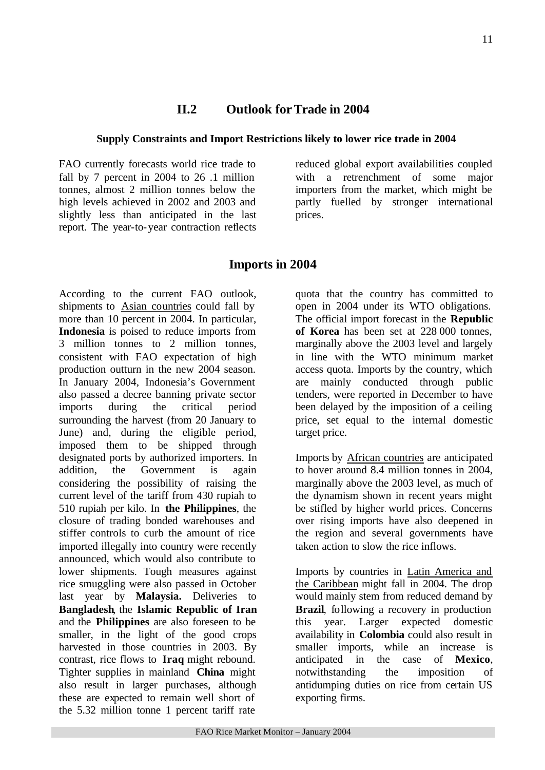### **II.2 Outlook for Trade in 2004**

### **Supply Constraints and Import Restrictions likely to lower rice trade in 2004**

FAO currently forecasts world rice trade to fall by 7 percent in 2004 to 26 .1 million tonnes, almost 2 million tonnes below the high levels achieved in 2002 and 2003 and slightly less than anticipated in the last report. The year-to-year contraction reflects

reduced global export availabilities coupled with a retrenchment of some major importers from the market, which might be partly fuelled by stronger international prices.

### **Imports in 2004**

According to the current FAO outlook, shipments to Asian countries could fall by more than 10 percent in 2004. In particular, **Indonesia** is poised to reduce imports from 3 million tonnes to 2 million tonnes, consistent with FAO expectation of high production outturn in the new 2004 season. In January 2004, Indonesia's Government also passed a decree banning private sector imports during the critical period surrounding the harvest (from 20 January to June) and, during the eligible period, imposed them to be shipped through designated ports by authorized importers. In addition, the Government is again considering the possibility of raising the current level of the tariff from 430 rupiah to 510 rupiah per kilo. In **the Philippines**, the closure of trading bonded warehouses and stiffer controls to curb the amount of rice imported illegally into country were recently announced, which would also contribute to lower shipments. Tough measures against rice smuggling were also passed in October last year by **Malaysia.** Deliveries to **Bangladesh**, the **Islamic Republic of Iran** and the **Philippines** are also foreseen to be smaller, in the light of the good crops harvested in those countries in 2003. By contrast, rice flows to **Iraq** might rebound. Tighter supplies in mainland **China** might also result in larger purchases, although these are expected to remain well short of the 5.32 million tonne 1 percent tariff rate

quota that the country has committed to open in 2004 under its WTO obligations. The official import forecast in the **Republic of Korea** has been set at 228 000 tonnes, marginally above the 2003 level and largely in line with the WTO minimum market access quota. Imports by the country, which are mainly conducted through public tenders, were reported in December to have been delayed by the imposition of a ceiling price, set equal to the internal domestic target price.

Imports by African countries are anticipated to hover around 8.4 million tonnes in 2004, marginally above the 2003 level, as much of the dynamism shown in recent years might be stifled by higher world prices. Concerns over rising imports have also deepened in the region and several governments have taken action to slow the rice inflows.

Imports by countries in Latin America and the Caribbean might fall in 2004. The drop would mainly stem from reduced demand by **Brazil**, following a recovery in production this year. Larger expected domestic availability in **Colombia** could also result in smaller imports, while an increase is anticipated in the case of **Mexico**, notwithstanding the imposition of antidumping duties on rice from certain US exporting firms.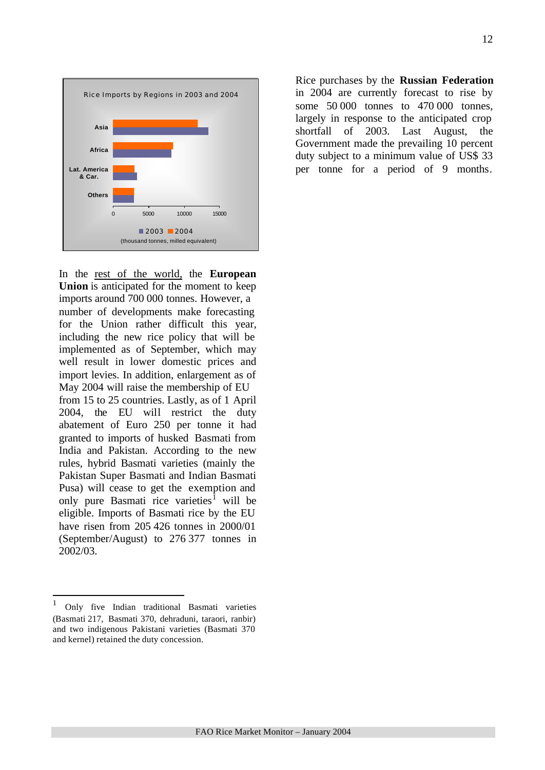

In the rest of the world, the **European Union** is anticipated for the moment to keep imports around 700 000 tonnes. However, a number of developments make forecasting for the Union rather difficult this year, including the new rice policy that will be implemented as of September, which may well result in lower domestic prices and import levies. In addition, enlargement as of May 2004 will raise the membership of EU from 15 to 25 countries. Lastly, as of 1 April 2004, the EU will restrict the duty abatement of Euro 250 per tonne it had granted to imports of husked Basmati from India and Pakistan. According to the new rules, hybrid Basmati varieties (mainly the Pakistan Super Basmati and Indian Basmati Pusa) will cease to get the exemption and only pure Basmati rice varieties<sup>1</sup> will be eligible. Imports of Basmati rice by the EU have risen from 205 426 tonnes in 2000/01 (September/August) to 276 377 tonnes in 2002/03.

l

Rice purchases by the **Russian Federation** in 2004 are currently forecast to rise by some 50 000 tonnes to 470 000 tonnes, largely in response to the anticipated crop shortfall of 2003. Last August, the Government made the prevailing 10 percent duty subject to a minimum value of US\$ 33 per tonne for a period of 9 months.

<sup>&</sup>lt;sup>1</sup> Only five Indian traditional Basmati varieties (Basmati 217, Basmati 370, dehraduni, taraori, ranbir) and two indigenous Pakistani varieties (Basmati 370 and kernel) retained the duty concession.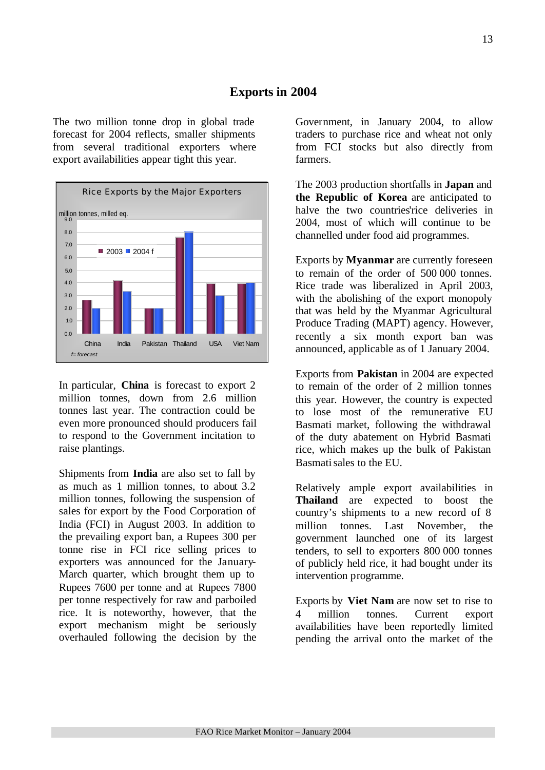### **Exports in 2004**

The two million tonne drop in global trade forecast for 2004 reflects, smaller shipments from several traditional exporters where export availabilities appear tight this year.



In particular, **China** is forecast to export 2 million tonnes, down from 2.6 million tonnes last year. The contraction could be even more pronounced should producers fail to respond to the Government incitation to raise plantings.

Shipments from **India** are also set to fall by as much as 1 million tonnes, to about 3.2 million tonnes, following the suspension of sales for export by the Food Corporation of India (FCI) in August 2003. In addition to the prevailing export ban, a Rupees 300 per tonne rise in FCI rice selling prices to exporters was announced for the January-March quarter, which brought them up to Rupees 7600 per tonne and at Rupees 7800 per tonne respectively for raw and parboiled rice. It is noteworthy, however, that the export mechanism might be seriously overhauled following the decision by the Government, in January 2004, to allow traders to purchase rice and wheat not only from FCI stocks but also directly from farmers.

The 2003 production shortfalls in **Japan** and **the Republic of Korea** are anticipated to halve the two countries'rice deliveries in 2004, most of which will continue to be channelled under food aid programmes.

Exports by **Myanmar** are currently foreseen to remain of the order of 500 000 tonnes. Rice trade was liberalized in April 2003, with the abolishing of the export monopoly that was held by the Myanmar Agricultural Produce Trading (MAPT) agency. However, recently a six month export ban was announced, applicable as of 1 January 2004.

Exports from **Pakistan** in 2004 are expected to remain of the order of 2 million tonnes this year. However, the country is expected to lose most of the remunerative EU Basmati market, following the withdrawal of the duty abatement on Hybrid Basmati rice, which makes up the bulk of Pakistan Basmati sales to the EU.

Relatively ample export availabilities in **Thailand** are expected to boost the country's shipments to a new record of 8 million tonnes. Last November, the government launched one of its largest tenders, to sell to exporters 800 000 tonnes of publicly held rice, it had bought under its intervention programme.

Exports by **Viet Nam** are now set to rise to 4 million tonnes. Current export availabilities have been reportedly limited pending the arrival onto the market of the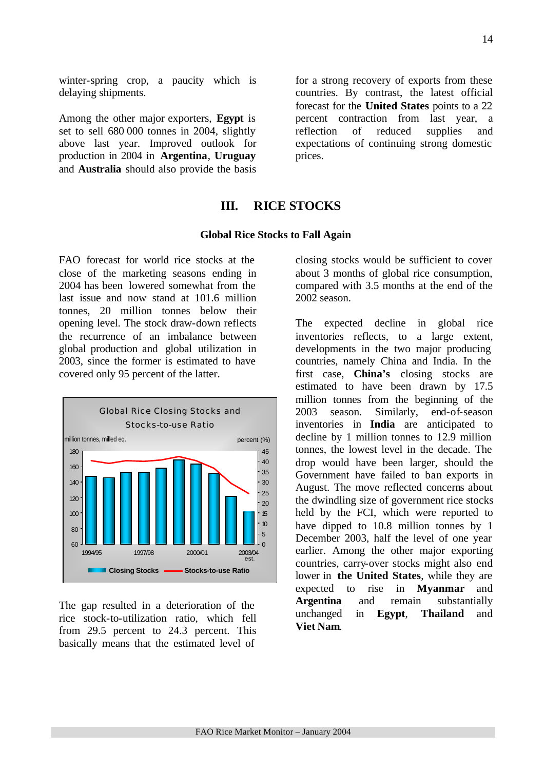winter-spring crop, a paucity which is delaying shipments.

Among the other major exporters, **Egypt** is set to sell 680 000 tonnes in 2004, slightly above last year. Improved outlook for production in 2004 in **Argentina**, **Uruguay** and **Australia** should also provide the basis

for a strong recovery of exports from these countries. By contrast, the latest official forecast for the **United States** points to a 22 percent contraction from last year, a reflection of reduced supplies and expectations of continuing strong domestic prices.

### **III. RICE STOCKS**

#### **Global Rice Stocks to Fall Again**

FAO forecast for world rice stocks at the close of the marketing seasons ending in 2004 has been lowered somewhat from the last issue and now stand at 101.6 million tonnes, 20 million tonnes below their opening level. The stock draw-down reflects the recurrence of an imbalance between global production and global utilization in 2003, since the former is estimated to have covered only 95 percent of the latter.



The gap resulted in a deterioration of the rice stock-to-utilization ratio, which fell from 29.5 percent to 24.3 percent. This basically means that the estimated level of

closing stocks would be sufficient to cover about 3 months of global rice consumption, compared with 3.5 months at the end of the 2002 season.

The expected decline in global rice inventories reflects, to a large extent, developments in the two major producing countries, namely China and India. In the first case, **China's** closing stocks are estimated to have been drawn by 17.5 million tonnes from the beginning of the 2003 season. Similarly, end-of-season inventories in **India** are anticipated to decline by 1 million tonnes to 12.9 million tonnes, the lowest level in the decade. The drop would have been larger, should the Government have failed to ban exports in August. The move reflected concerns about the dwindling size of government rice stocks held by the FCI, which were reported to have dipped to 10.8 million tonnes by 1 December 2003, half the level of one year earlier. Among the other major exporting countries, carry-over stocks might also end lower in **the United States**, while they are expected to rise in **Myanmar** and **Argentina** and remain substantially unchanged in **Egypt**, **Thailand** and **Viet Nam**.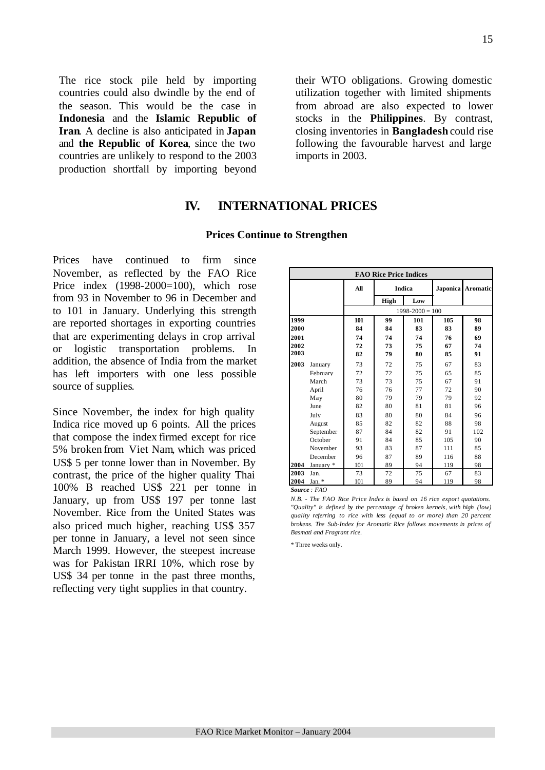The rice stock pile held by importing countries could also dwindle by the end of the season. This would be the case in **Indonesia** and the **Islamic Republic of Iran**. A decline is also anticipated in **Japan**  and **the Republic of Korea**, since the two countries are unlikely to respond to the 2003 production shortfall by importing beyond their WTO obligations. Growing domestic utilization together with limited shipments from abroad are also expected to lower stocks in the **Philippines**. By contrast, closing inventories in **Bangladesh** could rise following the favourable harvest and large imports in 2003.

### **IV. INTERNATIONAL PRICES**

#### **Prices Continue to Strengthen**

Prices have continued to firm since November, as reflected by the FAO Rice Price index (1998-2000=100), which rose from 93 in November to 96 in December and to 101 in January. Underlying this strength are reported shortages in exporting countries that are experimenting delays in crop arrival or logistic transportation problems. In addition, the absence of India from the market has left importers with one less possible source of supplies.

Since November, the index for high quality Indica rice moved up 6 points. All the prices that compose the index firmed except for rice 5% broken from Viet Nam, which was priced US\$ 5 per tonne lower than in November. By contrast, the price of the higher quality Thai 100% B reached US\$ 221 per tonne in January, up from US\$ 197 per tonne last November. Rice from the United States was also priced much higher, reaching US\$ 357 per tonne in January, a level not seen since March 1999. However, the steepest increase was for Pakistan IRRI 10%, which rose by US\$ 34 per tonne in the past three months, reflecting very tight supplies in that country.

| <b>FAO Rice Price Indices</b> |           |                     |      |               |     |                   |  |  |  |  |  |
|-------------------------------|-----------|---------------------|------|---------------|-----|-------------------|--|--|--|--|--|
|                               |           | All                 |      | <b>Indica</b> |     | Japonica Aromatic |  |  |  |  |  |
|                               |           |                     | High | Low           |     |                   |  |  |  |  |  |
|                               |           | $1998 - 2000 = 100$ |      |               |     |                   |  |  |  |  |  |
| 1999                          |           | 101                 | 99   | 101           | 105 | 98                |  |  |  |  |  |
| 2000                          |           | 84                  | 84   | 83            | 83  | 89                |  |  |  |  |  |
| 2001                          |           | 74                  | 74   | 74            | 76  | 69                |  |  |  |  |  |
| 2002                          |           | 72                  | 73   | 75            | 67  | 74                |  |  |  |  |  |
| 2003                          |           | 82                  | 79   | 80            | 85  | 91                |  |  |  |  |  |
| 2003                          | January   | 73                  | 72   | 75            | 67  | 83                |  |  |  |  |  |
|                               | February  | 72                  | 72   | 75            | 65  | 85                |  |  |  |  |  |
|                               | March     | 73                  | 73   | 75            | 67  | 91                |  |  |  |  |  |
|                               | April     | 76                  | 76   | 77            | 72  | 90                |  |  |  |  |  |
|                               | May       | 80                  | 79   | 79            | 79  | 92                |  |  |  |  |  |
|                               | June      | 82                  | 80   | 81            | 81  | 96                |  |  |  |  |  |
|                               | July      | 83                  | 80   | 80            | 84  | 96                |  |  |  |  |  |
|                               | August    | 85                  | 82   | 82            | 88  | 98                |  |  |  |  |  |
|                               | September | 87                  | 84   | 82            | 91  | 102               |  |  |  |  |  |
|                               | October   | 91                  | 84   | 85            | 105 | 90                |  |  |  |  |  |
|                               | November  | 93                  | 83   | 87            | 111 | 85                |  |  |  |  |  |
|                               | December  | 96                  | 87   | 89            | 116 | 88                |  |  |  |  |  |
| 2004                          | Januarv * | 101                 | 89   | 94            | 119 | 98                |  |  |  |  |  |
| 2003                          | Jan.      | 73                  | 72   | 75            | 67  | 83                |  |  |  |  |  |
| 2004                          | Jan. $*$  | 101                 | 89   | 94            | 119 | 98                |  |  |  |  |  |

*Source : FAO* 

*N.B. - The FAO Rice Price Index is based on 16 rice export quotations. "Quality" is defined by the percentage of broken kernels, with high (low) quality referring to rice with less (equal to or more) than 20 percent brokens. The Sub-Index for Aromatic Rice follows movements in prices of Basmati and Fragrant rice.*

\* Three weeks only.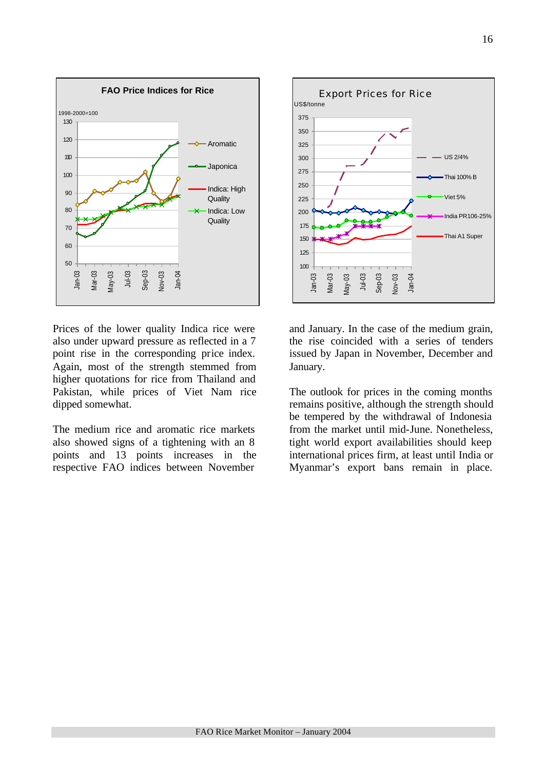

Prices of the lower quality Indica rice were also under upward pressure as reflected in a 7 point rise in the corresponding price index. Again, most of the strength stemmed from higher quotations for rice from Thailand and Pakistan, while prices of Viet Nam rice dipped somewhat.

The medium rice and aromatic rice markets also showed signs of a tightening with an 8 points and 13 points increases in the respective FAO indices between November



and January. In the case of the medium grain, the rise coincided with a series of tenders issued by Japan in November, December and January.

The outlook for prices in the coming months remains positive, although the strength should be tempered by the withdrawal of Indonesia from the market until mid-June. Nonetheless, tight world export availabilities should keep international prices firm, at least until India or Myanmar's export bans remain in place.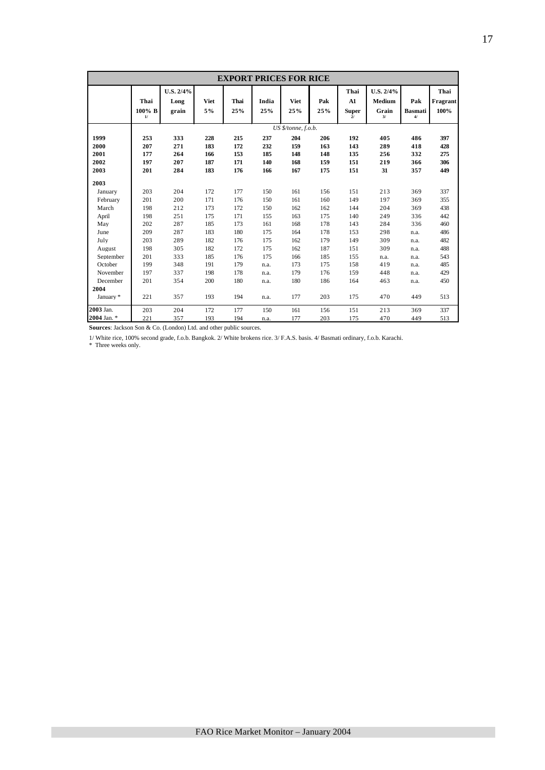| <b>EXPORT PRICES FOR RICE</b> |                      |                            |            |             |              |                     |            |                                  |                                           |                             |                          |
|-------------------------------|----------------------|----------------------------|------------|-------------|--------------|---------------------|------------|----------------------------------|-------------------------------------------|-----------------------------|--------------------------|
|                               | Thai<br>100% B<br>1/ | U.S. 2/4%<br>Long<br>grain | Viet<br>5% | Thai<br>25% | India<br>25% | <b>Viet</b><br>25%  | Pak<br>25% | Thai<br>A1<br><b>Super</b><br>2l | U.S. 2/4%<br><b>Medium</b><br>Grain<br>3/ | Pak<br><b>Basmati</b><br>4/ | Thai<br>Fragrant<br>100% |
|                               |                      |                            |            |             |              | US \$/tonne, f.o.b. |            |                                  |                                           |                             |                          |
| 1999                          | 253                  | 333                        | 228        | 215         | 237          | 204                 | 206        | 192                              | 405                                       | 486                         | 397                      |
| 2000                          | 207                  | 271                        | 183        | 172         | 232          | 159                 | 163        | 143                              | 289                                       | 418                         | 428                      |
| 2001                          | 177                  | 264                        | 166        | 153         | 185          | 148                 | 148        | 135                              | 256                                       | 332                         | 275                      |
| 2002                          | 197                  | 207                        | 187        | 171         | 140          | 168                 | 159        | 151                              | 219                                       | 366                         | 306                      |
| 2003                          | 201                  | 284                        | 183        | 176         | 166          | 167                 | 175        | 151                              | 31                                        | 357                         | 449                      |
| 2003                          |                      |                            |            |             |              |                     |            |                                  |                                           |                             |                          |
| January                       | 203                  | 204                        | 172        | 177         | 150          | 161                 | 156        | 151                              | 213                                       | 369                         | 337                      |
| February                      | 201                  | 200                        | 171        | 176         | 150          | 161                 | 160        | 149                              | 197                                       | 369                         | 355                      |
| March                         | 198                  | 212                        | 173        | 172         | 150          | 162                 | 162        | 144                              | 204                                       | 369                         | 438                      |
| April                         | 198                  | 251                        | 175        | 171         | 155          | 163                 | 175        | 140                              | 249                                       | 336                         | 442                      |
| May                           | 202                  | 287                        | 185        | 173         | 161          | 168                 | 178        | 143                              | 284                                       | 336                         | 460                      |
| June                          | 209                  | 287                        | 183        | 180         | 175          | 164                 | 178        | 153                              | 298                                       | n.a.                        | 486                      |
| July                          | 203                  | 289                        | 182        | 176         | 175          | 162                 | 179        | 149                              | 309                                       | n.a.                        | 482                      |
| August                        | 198                  | 305                        | 182        | 172         | 175          | 162                 | 187        | 151                              | 309                                       | n.a.                        | 488                      |
| September                     | 201                  | 333                        | 185        | 176         | 175          | 166                 | 185        | 155                              | n.a.                                      | n.a.                        | 543                      |
| October                       | 199                  | 348                        | 191        | 179         | n.a.         | 173                 | 175        | 158                              | 419                                       | n.a.                        | 485                      |
| November                      | 197                  | 337                        | 198        | 178         | n.a.         | 179                 | 176        | 159                              | 448                                       | n.a.                        | 429                      |
| December                      | 201                  | 354                        | 200        | 180         | n.a.         | 180                 | 186        | 164                              | 463                                       | n.a.                        | 450                      |
| 2004                          |                      |                            |            |             |              |                     |            |                                  |                                           |                             |                          |
| January *                     | 221                  | 357                        | 193        | 194         | n.a.         | 177                 | 203        | 175                              | 470                                       | 449                         | 513                      |
| 2003 Jan.                     | 203                  | 204                        | 172        | 177         | 150          | 161                 | 156        | 151                              | 213                                       | 369                         | 337                      |
| 2004 Jan. *                   | 221                  | 357                        | 193        | 194         | n.a.         | 177                 | 203        | 175                              | 470                                       | 449                         | 513                      |

**Sources**: Jackson Son & Co. (London) Ltd. and other public sources.

1/ White rice, 100% second grade, f.o.b. Bangkok. 2/ White brokens rice. 3/ F.A.S. basis. 4/ Basmati ordinary, f.o.b. Karachi.

\* Three weeks only.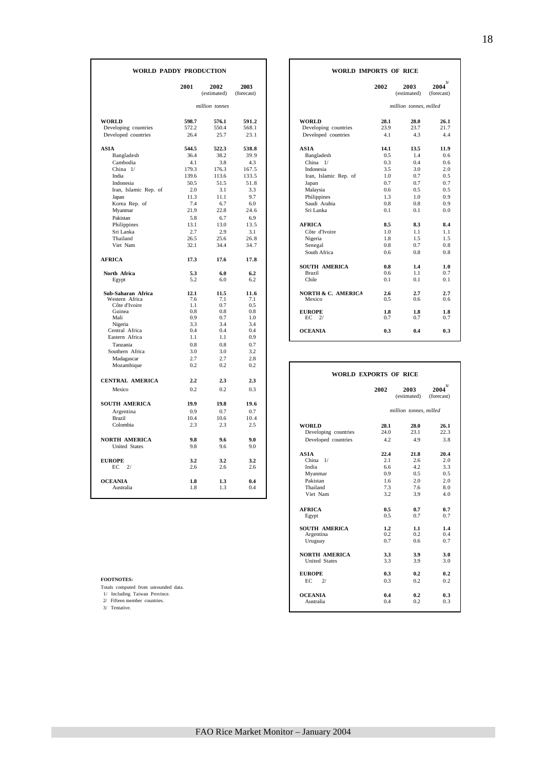| WORLD PADDY PRODUCTION    |             |                     |                    | <b>WORLD IMPORTS OF RICE</b>          |              |                        |                           |
|---------------------------|-------------|---------------------|--------------------|---------------------------------------|--------------|------------------------|---------------------------|
|                           | 2001        | 2002<br>(estimated) | 2003<br>(forecast) |                                       | 2002         | 2003<br>(estimated)    | $2004^{3/}$<br>(forecast) |
|                           |             | million tonnes      |                    |                                       |              | million tonnes, milled |                           |
| <b>WORLD</b>              | 598.7       | 576.1               | 591.2              | <b>WORLD</b>                          | 28.1         | 28.0                   | 26.1                      |
| Developing countries      | 572.2       | 550.4               | 568.1              | Developing countries                  | 23.9         | 23.7                   | 21.7                      |
| Developed countries       | 26.4        | 25.7                | 23.1               | Developed countries                   | 4.1          | 4.3                    | 4.4                       |
| <b>ASIA</b>               | 544.5       | 522.3               | 538.8              | <b>ASIA</b>                           | 14.1         | 13.5                   | 11.9                      |
| Bangladesh                | 36.4        | 38.2                | 39.9               | Bangladesh                            | 0.5          | 1.4                    | 0.6                       |
| Cambodia                  | 4.1         | 3.8                 | 4.3                | China $1/$                            | 0.3          | 0.4                    | 0.6                       |
| China 1/                  | 179.3       | 176.3               | 167.5              | Indonesia                             | 3.5          | 3.0                    | 2.0                       |
| India                     | 139.6       | 113.6               | 133.5              | Iran, Islamic Rep. of                 | 1.0          | 0.7                    | 0.5                       |
| Indonesia                 | 50.5        | 51.5                | 51.8               | Japan                                 | 0.7          | 0.7                    | 0.7                       |
| Iran, Islamic Rep. of     | 2.0         | 3.1                 | 3.3                | Malaysia                              | 0.6          | 0.5                    | 0.5                       |
| Japan                     | 11.3        | 11.1                | 9.7                | Philippines                           | 1.3          | 1.0                    | 0.9                       |
| Korea Rep. of             | 7.4<br>21.9 | 6.7<br>22.8         | 6.0<br>24.6        | Saudi Arabia<br>Sri Lanka             | 0.8<br>0.1   | 0.8<br>0.1             | 0.9<br>0.0                |
| Myanmar<br>Pakistan       | 5.8         | 6.7                 | 6.9                |                                       |              |                        |                           |
| Philippines               | 13.1        | 13.0                | 13.5               | <b>AFRICA</b>                         | 8.5          | 8.3                    | 8.4                       |
| Sri Lanka                 | 2.7         | 2.9                 | 3.1                | Côte d'Ivoire                         | 1.0          | 1.1                    | 1.1                       |
| Thailand                  | 26.5        | 25.6                | 26.8               | Nigeria                               | 1.8          | 1.5                    | 1.5                       |
| Viet Nam                  | 32.1        | 34.4                | 34.7               | Senegal                               | 0.8          | 0.7                    | 0.8                       |
|                           |             |                     |                    | South Africa                          | 0.6          | 0.8                    | 0.8                       |
| <b>AFRICA</b>             | 17.3        | 17.6                | 17.8               |                                       |              |                        |                           |
|                           |             |                     |                    | <b>SOUTH AMERICA</b><br><b>Brazil</b> | 0.8<br>0.6   | 1.4<br>1.1             | 1.0<br>0.7                |
| North Africa<br>Egypt     | 5.3<br>5.2  | 6.0<br>6.0          | 6.2<br>6.2         | Chile                                 | 0.1          | 0.1                    | 0.1                       |
| Sub-Saharan Africa        | 12.1        | 11.5                | 11.6               | <b>NORTH &amp; C. AMERICA</b>         | 2.6          | 2.7                    | 2.7                       |
| Western Africa            | 7.6         | 7.1                 | 7.1                | Mexico                                | 0.5          | 0.6                    | 0.6                       |
| Côte d'Ivoire             | 1.1         | 0.7                 | 0.5                |                                       |              |                        |                           |
| Guinea                    | 0.8         | 0.8                 | 0.8                | <b>EUROPE</b>                         | 1.8          | 1.8                    | 1.8                       |
| Mali                      | 0.9         | 0.7                 | 1.0                | $EC$ 2/                               | 0.7          | 0.7                    | 0.7                       |
| Nigeria<br>Central Africa | 3.3<br>0.4  | 3.4<br>0.4          | 3.4<br>0.4         | <b>OCEANIA</b>                        | 0.3          | 0.4                    | 0.3                       |
| Eastern Africa            | 1.1         | 1.1                 | 0.9                |                                       |              |                        |                           |
| Tanzania                  | 0.8         | 0.8                 | 0.7                |                                       |              |                        |                           |
| Southern Africa           | 3.0         | 3.0                 | 3.2                |                                       |              |                        |                           |
| Madagascar                | 2.7         | 2.7                 | 2.8                |                                       |              |                        |                           |
| Mozambique                | 0.2         | 0.2                 | 0.2                |                                       |              |                        |                           |
|                           |             |                     |                    | <b>WORLD EXPORTS OF RICE</b>          |              |                        |                           |
| <b>CENTRAL AMERICA</b>    | 2.2         | 2.3                 | 2.3                |                                       |              |                        | $2004^{3/2}$              |
| Mexico                    | 0.2         | 0.2                 | 0.3                |                                       | 2002         | 2003<br>(estimated)    | (forecast)                |
| <b>SOUTH AMERICA</b>      | 19.9        | 19.8                | 19.6               |                                       |              |                        |                           |
| Argentina                 | 0.9         | 0.7                 | 0.7                |                                       |              | million tonnes, milled |                           |
| <b>Brazil</b>             | 10.4        | 10.6                | 10.4               |                                       |              |                        |                           |
| Colombia                  | 2.3         | 2.3                 | 2.5                | <b>WORLD</b><br>Developing countries  | 28.1<br>24.0 | 28.0<br>23.1           | 26.1<br>22.3              |
| <b>NORTH AMERICA</b>      | 9.8         | 9.6                 | 9.0                | Developed countries                   | 4.2          | 4.9                    | 3.8                       |
| <b>United States</b>      | 9.8         | 9.6                 | 9.0                |                                       |              |                        |                           |
|                           |             |                     |                    | <b>ASIA</b>                           | 22.4         | 21.8                   | 20.4                      |
| <b>EUROPE</b>             | 3.2         | 3.2                 | 3.2                | China $1/$                            | 2.1          | 2.6                    | 2.0                       |
| 2/<br>EС                  | 2.6         | 2.6                 | 2.6                | India                                 | 6.6          | 4.2                    | 3.3                       |
|                           |             |                     |                    | Myanmar                               | 0.9          | 0.5                    | 0.5                       |
| <b>OCEANIA</b>            | 1.8         | 1.3                 | 0.4                | Pakistan                              | 1.6          | 2.0                    | 2.0                       |
| Australia                 | 1.8         | 1.3                 | 0.4                | Thailand<br>Viet Nam                  | 7.3<br>32    | 7.6<br>39              | 8.0<br>40                 |
|                           |             |                     |                    |                                       |              |                        |                           |

|            | <b>DY PRODUCTION</b> |                    | <b>WORLD IMPORTS OF RICE</b>  |            |                        |                          |
|------------|----------------------|--------------------|-------------------------------|------------|------------------------|--------------------------|
| 2001       | 2002<br>(estimated)  | 2003<br>(forecast) |                               | 2002       | 2003<br>(estimated)    | 3/<br>2004<br>(forecast) |
|            | million tonnes       |                    |                               |            | million tonnes, milled |                          |
| 598.7      | 576.1                | 591.2              | <b>WORLD</b>                  | 28.1       | 28.0                   | 26.1                     |
| 572.2      | 550.4                | 568.1              | Developing countries          | 23.9       | 23.7                   | 21.7                     |
| 26.4       | 25.7                 | 23.1               | Developed countries           | 4.1        | 4.3                    | 4.4                      |
| 544.5      | 522.3                | 538.8              | <b>ASIA</b>                   | 14.1       | 13.5                   | 11.9                     |
| 36.4       | 38.2                 | 39.9               | Bangladesh                    | 0.5        | 1.4                    | 0.6                      |
| 4.1        | 3.8                  | 4.3                | China $1/$                    | 0.3        | 0.4                    | 0.6                      |
| 179.3      | 176.3                | 167.5              | Indonesia                     | 3.5        | 3.0                    | 2.0                      |
| 139.6      | 113.6                | 133.5              | Iran, Islamic Rep. of         | 1.0        | 0.7                    | 0.5                      |
| 50.5       | 51.5                 | 51.8               | Japan                         | 0.7        | 0.7                    | 0.7                      |
| 2.0        | 3.1                  | 3.3                | Malaysia                      | 0.6        | 0.5                    | 0.5                      |
| 11.3       | 11.1                 | 9.7                | Philippines                   | 1.3        | 1.0                    | 0.9                      |
| 7.4        | 6.7                  | 6.0                | Saudi Arabia                  | 0.8        | 0.8                    | 0.9                      |
| 21.9       | 22.8                 | 24.6               | Sri Lanka                     | 0.1        | 0.1                    | 0.0                      |
| 5.8        | 6.7                  | 6.9                |                               |            |                        |                          |
| 13.1       | 13.0                 | 13.5               | <b>AFRICA</b>                 | 8.5        | 8.3                    | 8.4                      |
| 2.7        | 2.9                  | 3.1                | Côte d'Ivoire                 | 1.0        | 1.1                    | 1.1                      |
| 26.5       | 25.6                 | 26.8               | Nigeria                       | 1.8        | 1.5                    | 1.5                      |
| 32.1       | 34.4                 | 34.7               | Senegal                       | 0.8        | 0.7                    | 0.8                      |
|            |                      |                    | South Africa                  | 0.6        | 0.8                    | 0.8                      |
| 17.3       | 17.6                 | 17.8               |                               |            |                        |                          |
|            |                      |                    | <b>SOUTH AMERICA</b>          | 0.8        | 1.4                    | 1.0                      |
| 5.3        | 6.0                  | 6.2                | <b>Brazil</b>                 | 0.6        | 1.1                    | 0.7                      |
| 5.2        | 6.0                  | 6.2                | Chile                         | 0.1        | 0.1                    | 0.1                      |
| 12.1       | 11.5                 | 11.6               | <b>NORTH &amp; C. AMERICA</b> | 2.6        | 2.7                    | 2.7                      |
| 7.6        | 7.1                  | 7.1                | Mexico                        | 0.5        | 0.6                    | 0.6                      |
| 1.1<br>0.8 | 0.7<br>0.8           | 0.5<br>0.8         |                               |            |                        |                          |
| 0.9        | 0.7                  | 1.0                | <b>EUROPE</b><br>ЕC<br>2/     | 1.8<br>0.7 | 1.8<br>0.7             | 1.8<br>0.7               |
| 3.3        | 3.4                  | 3.4                |                               |            |                        |                          |
| 0.4        | 0.4                  | 0.4                | <b>OCEANIA</b>                | 0.3        | 0.4                    | 0.3                      |
| 1.1        | 1.1                  | 0.9                |                               |            |                        |                          |

| www.annongue                         | $v_{\cdot}$ | $v_{\cdot}$ | $v_{\cdot}$ |                                      |                              |                        |                          |
|--------------------------------------|-------------|-------------|-------------|--------------------------------------|------------------------------|------------------------|--------------------------|
|                                      |             |             |             |                                      | <b>WORLD EXPORTS OF RICE</b> |                        |                          |
| CENTRAL AMERICA                      | 2.2         | 2.3         | 2.3         |                                      |                              |                        |                          |
| Mexico                               | 0.2         | 0.2         | 0.3         |                                      | 2002                         | 2003<br>(estimated)    | 3/<br>2004<br>(forecast) |
| SOUTH AMERICA                        | 19.9        | 19.8        | 19.6        |                                      |                              |                        |                          |
| Argentina                            | 0.9         | 0.7         | 0.7         |                                      |                              | million tonnes, milled |                          |
| Brazil                               | 10.4        | 10.6        | 10.4        |                                      |                              |                        |                          |
| Colombia                             | 2.3         | 2.3         | 2.5         | <b>WORLD</b><br>Developing countries | 28.1<br>24.0                 | 28.0<br>23.1           | 26.1<br>22.3             |
| NORTH AMERICA                        | 9.8         | 9.6         | 9.0         | Developed countries                  | 4.2                          | 4.9                    | 3.8                      |
| <b>United States</b>                 | 9.8         | 9.6         | 9.0         |                                      |                              |                        |                          |
|                                      |             |             |             | <b>ASIA</b>                          | 22.4                         | 21.8                   | 20.4                     |
| <b>EUROPE</b>                        | 3.2         | 3.2         | 3.2         | China 1/                             | 2.1                          | 2.6                    | 2.0                      |
| $EC$ $2/$                            | 2.6         | 2.6         | 2.6         | India                                | 6.6                          | 4.2                    | 3.3                      |
|                                      |             |             |             | Myanmar                              | 0.9                          | 0.5                    | 0.5                      |
| <b>OCEANIA</b>                       | 1.8         | 1.3         | 0.4         | Pakistan                             | 1.6                          | 2.0                    | 2.0                      |
| Australia                            | 1.8         | 1.3         | 0.4         | Thailand                             | 7.3                          | 7.6                    | 8.0                      |
|                                      |             |             |             | Viet Nam                             | 3.2                          | 3.9                    | 4.0                      |
|                                      |             |             |             | <b>AFRICA</b>                        | 0.5                          | 0.7                    | 0.7                      |
|                                      |             |             |             | Egypt                                | 0.5                          | 0.7                    | 0.7                      |
|                                      |             |             |             | <b>SOUTH AMERICA</b>                 | 1.2                          | 1.1                    | 1.4                      |
|                                      |             |             |             | Argentina                            | 0.2                          | 0.2                    | 0.4                      |
|                                      |             |             |             | Uruguay                              | 0.7                          | 0.6                    | 0.7                      |
|                                      |             |             |             | <b>NORTH AMERICA</b>                 | 3.3                          | 3.9                    | 3.0                      |
|                                      |             |             |             | <b>United States</b>                 | 3.3                          | 3.9                    | 3.0                      |
|                                      |             |             |             | <b>EUROPE</b>                        | 0.3                          | 0.2                    | 0.2                      |
| <b>FOOTNOTES:</b>                    |             |             |             | EC<br>2/                             | 0.3                          | 0.2                    | 0.2                      |
| Totals computed from unrounded data. |             |             |             |                                      |                              |                        |                          |
| 1/ Including Taiwan Province.        |             |             |             | <b>OCEANIA</b>                       | 0.4                          | 0.2                    | 0.3                      |
| 2/ Fifteen member countries.         |             |             |             | Australia                            | 0.4                          | 0.2                    | 0.3                      |
| 3/ Tentative.                        |             |             |             |                                      |                              |                        |                          |

٦